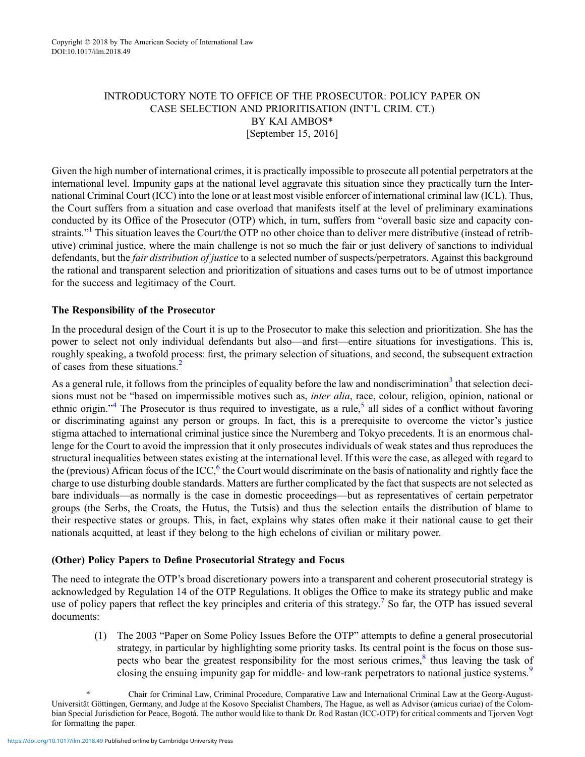### INTRODUCTORY NOTE TO OFFICE OF THE PROSECUTOR: POLICY PAPER ON CASE SELECTION AND PRIORITISATION (INT'L CRIM. CT.) BY KAI AMBOS\* [September 15, 2016]

Given the high number of international crimes, it is practically impossible to prosecute all potential perpetrators at the international level. Impunity gaps at the national level aggravate this situation since they practically turn the International Criminal Court (ICC) into the lone or at least most visible enforcer of international criminal law (ICL). Thus, the Court suffers from a situation and case overload that manifests itself at the level of preliminary examinations conducted by its Office of the Prosecutor (OTP) which, in turn, suffers from "overall basic size and capacity constraints."<sup>1</sup> This situation leaves the Court/the OTP no other choice than to deliver mere distributive (instead of retributive) criminal justice, where the main challenge is not so much the fair or just delivery of sanctions to individual defendants, but the *fair distribution of justice* to a selected number of suspects/perpetrators. Against this background the rational and transparent selection and prioritization of situations and cases turns out to be of utmost importance for the success and legitimacy of the Court.

## The Responsibility of the Prosecutor

In the procedural design of the Court it is up to the Prosecutor to make this selection and prioritization. She has the power to select not only individual defendants but also—and first—entire situations for investigations. This is, roughly speaking, a twofold process: first, the primary selection of situations, and second, the subsequent extraction of cases from these situations.<sup>2</sup>

As a general rule, it follows from the principles of equality before the law and nondiscrimination<sup>3</sup> that selection decisions must not be "based on impermissible motives such as, *inter alia*, race, colour, religion, opinion, national or ethnic origin."<sup>4</sup> The Prosecutor is thus required to investigate, as a rule,<sup>5</sup> all sides of a conflict without favoring or discriminating against any person or groups. In fact, this is a prerequisite to overcome the victor's justice stigma attached to international criminal justice since the Nuremberg and Tokyo precedents. It is an enormous challenge for the Court to avoid the impression that it only prosecutes individuals of weak states and thus reproduces the structural inequalities between states existing at the international level. If this were the case, as alleged with regard to the (previous) African focus of the ICC, $6$  the Court would discriminate on the basis of nationality and rightly face the charge to use disturbing double standards. Matters are further complicated by the fact that suspects are not selected as bare individuals—as normally is the case in domestic proceedings—but as representatives of certain perpetrator groups (the Serbs, the Croats, the Hutus, the Tutsis) and thus the selection entails the distribution of blame to their respective states or groups. This, in fact, explains why states often make it their national cause to get their nationals acquitted, at least if they belong to the high echelons of civilian or military power.

### (Other) Policy Papers to Define Prosecutorial Strategy and Focus

The need to integrate the OTP's broad discretionary powers into a transparent and coherent prosecutorial strategy is acknowledged by Regulation 14 of the OTP Regulations. It obliges the Office to make its strategy public and make use of policy papers that reflect the key principles and criteria of this strategy.<sup>7</sup> So far, the OTP has issued several documents:

(1) The 2003 "Paper on Some Policy Issues Before the OTP" attempts to define a general prosecutorial strategy, in particular by highlighting some priority tasks. Its central point is the focus on those suspects who bear the greatest responsibility for the most serious crimes, $\frac{8}{3}$  thus leaving the task of closing the ensuing impunity gap for middle- and low-rank perpetrators to national justice systems.<sup>9</sup>

<sup>\*</sup> Chair for Criminal Law, Criminal Procedure, Comparative Law and International Criminal Law at the Georg-August-Universität Göttingen, Germany, and Judge at the Kosovo Specialist Chambers, The Hague, as well as Advisor (amicus curiae) of the Colombian Special Jurisdiction for Peace, Bogotá. The author would like to thank Dr. Rod Rastan (ICC-OTP) for critical comments and Tjorven Vogt for formatting the paper.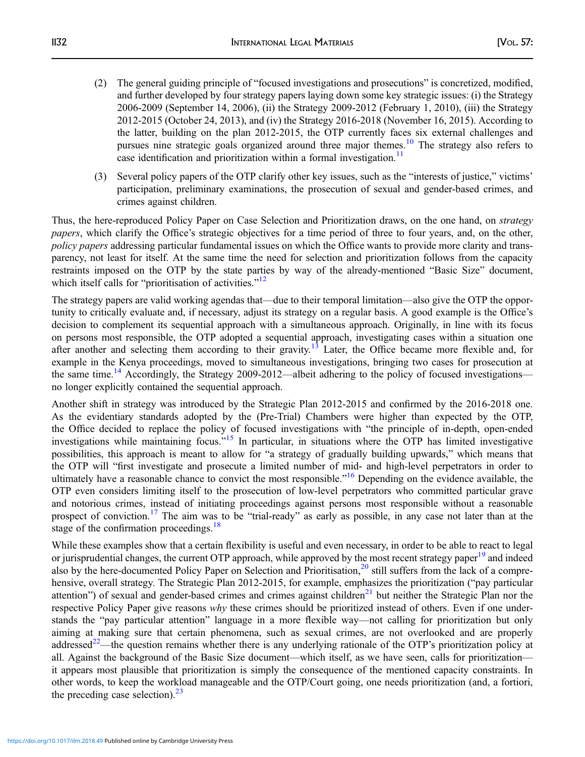- (2) The general guiding principle of "focused investigations and prosecutions" is concretized, modified, and further developed by four strategy papers laying down some key strategic issues: (i) the Strategy 2006-2009 (September 14, 2006), (ii) the Strategy 2009-2012 (February 1, 2010), (iii) the Strategy 2012-2015 (October 24, 2013), and (iv) the Strategy 2016-2018 (November 16, 2015). According to the latter, building on the plan 2012-2015, the OTP currently faces six external challenges and pursues nine strategic goals organized around three major themes.<sup>10</sup> The strategy also refers to case identification and prioritization within a formal investigation.<sup>11</sup>
- (3) Several policy papers of the OTP clarify other key issues, such as the "interests of justice," victims' participation, preliminary examinations, the prosecution of sexual and gender-based crimes, and crimes against children.

Thus, the here-reproduced Policy Paper on Case Selection and Prioritization draws, on the one hand, on strategy papers, which clarify the Office's strategic objectives for a time period of three to four years, and, on the other, policy papers addressing particular fundamental issues on which the Office wants to provide more clarity and transparency, not least for itself. At the same time the need for selection and prioritization follows from the capacity restraints imposed on the OTP by the state parties by way of the already-mentioned "Basic Size" document, which itself calls for "prioritisation of activities."<sup>12</sup>

The strategy papers are valid working agendas that—due to their temporal limitation—also give the OTP the opportunity to critically evaluate and, if necessary, adjust its strategy on a regular basis. A good example is the Office's decision to complement its sequential approach with a simultaneous approach. Originally, in line with its focus on persons most responsible, the OTP adopted a sequential approach, investigating cases within a situation one after another and selecting them according to their gravity.<sup>13</sup> Later, the Office became more flexible and, for example in the Kenya proceedings, moved to simultaneous investigations, bringing two cases for prosecution at the same time.<sup>14</sup> Accordingly, the Strategy 2009-2012—albeit adhering to the policy of focused investigations no longer explicitly contained the sequential approach.

Another shift in strategy was introduced by the Strategic Plan 2012-2015 and confirmed by the 2016-2018 one. As the evidentiary standards adopted by the (Pre-Trial) Chambers were higher than expected by the OTP, the Office decided to replace the policy of focused investigations with "the principle of in-depth, open-ended investigations while maintaining focus."<sup>15</sup> In particular, in situations where the OTP has limited investigative possibilities, this approach is meant to allow for "a strategy of gradually building upwards," which means that the OTP will "first investigate and prosecute a limited number of mid- and high-level perpetrators in order to ultimately have a reasonable chance to convict the most responsible."<sup>16</sup> Depending on the evidence available, the OTP even considers limiting itself to the prosecution of low-level perpetrators who committed particular grave and notorious crimes, instead of initiating proceedings against persons most responsible without a reasonable prospect of conviction.<sup>17</sup> The aim was to be "trial-ready" as early as possible, in any case not later than at the stage of the confirmation proceedings.<sup>18</sup>

While these examples show that a certain flexibility is useful and even necessary, in order to be able to react to legal or jurisprudential changes, the current OTP approach, while approved by the most recent strategy paper<sup>19</sup> and indeed also by the here-documented Policy Paper on Selection and Prioritisation, $20$  still suffers from the lack of a comprehensive, overall strategy. The Strategic Plan 2012-2015, for example, emphasizes the prioritization ("pay particular attention") of sexual and gender-based crimes and crimes against children<sup>21</sup> but neither the Strategic Plan nor the respective Policy Paper give reasons why these crimes should be prioritized instead of others. Even if one understands the "pay particular attention" language in a more flexible way—not calling for prioritization but only aiming at making sure that certain phenomena, such as sexual crimes, are not overlooked and are properly addressed<sup>22</sup>—the question remains whether there is any underlying rationale of the OTP's prioritization policy at all. Against the background of the Basic Size document—which itself, as we have seen, calls for prioritization it appears most plausible that prioritization is simply the consequence of the mentioned capacity constraints. In other words, to keep the workload manageable and the OTP/Court going, one needs prioritization (and, a fortiori, the preceding case selection). $^{23}$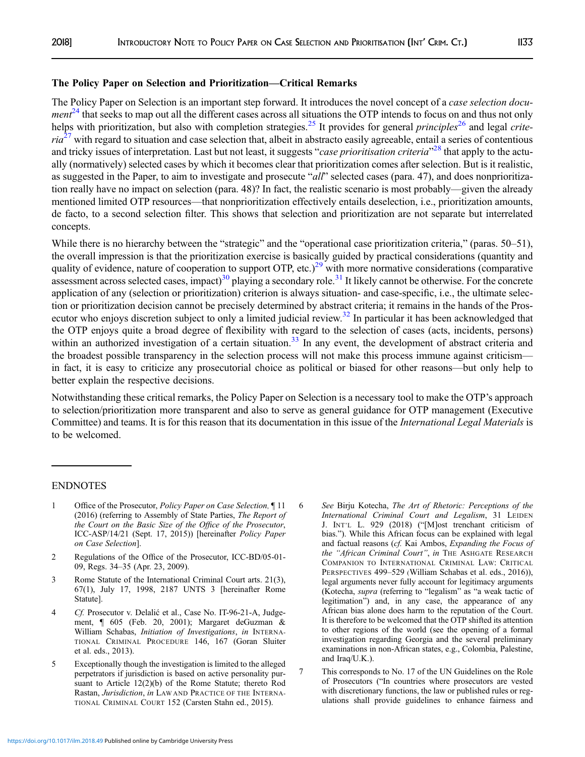#### The Policy Paper on Selection and Prioritization—Critical Remarks

The Policy Paper on Selection is an important step forward. It introduces the novel concept of a case selection docu $ment^{24}$  that seeks to map out all the different cases across all situations the OTP intends to focus on and thus not only helps with prioritization, but also with completion strategies.<sup>25</sup> It provides for general *principles*<sup>26</sup> and legal *crite* $ria^{27}$  with regard to situation and case selection that, albeit in abstracto easily agreeable, entail a series of contentious and tricky issues of interpretation. Last but not least, it suggests "case prioritisation criteria"<sup>28</sup> that apply to the actually (normatively) selected cases by which it becomes clear that prioritization comes after selection. But is it realistic, as suggested in the Paper, to aim to investigate and prosecute "all" selected cases (para. 47), and does nonprioritization really have no impact on selection (para. 48)? In fact, the realistic scenario is most probably—given the already mentioned limited OTP resources—that nonprioritization effectively entails deselection, i.e., prioritization amounts, de facto, to a second selection filter. This shows that selection and prioritization are not separate but interrelated concepts.

While there is no hierarchy between the "strategic" and the "operational case prioritization criteria," (paras. 50–51), the overall impression is that the prioritization exercise is basically guided by practical considerations (quantity and quality of evidence, nature of cooperation to support OTP, etc.)<sup>29</sup> with more normative considerations (comparative assessment across selected cases, impact)<sup>30</sup> playing a secondary role.<sup>31</sup> It likely cannot be otherwise. For the concrete application of any (selection or prioritization) criterion is always situation- and case-specific, i.e., the ultimate selection or prioritization decision cannot be precisely determined by abstract criteria; it remains in the hands of the Prosecutor who enjoys discretion subject to only a limited judicial review.<sup>32</sup> In particular it has been acknowledged that the OTP enjoys quite a broad degree of flexibility with regard to the selection of cases (acts, incidents, persons) within an authorized investigation of a certain situation.<sup>33</sup> In any event, the development of abstract criteria and the broadest possible transparency in the selection process will not make this process immune against criticism in fact, it is easy to criticize any prosecutorial choice as political or biased for other reasons—but only help to better explain the respective decisions.

Notwithstanding these critical remarks, the Policy Paper on Selection is a necessary tool to make the OTP's approach to selection/prioritization more transparent and also to serve as general guidance for OTP management (Executive Committee) and teams. It is for this reason that its documentation in this issue of the International Legal Materials is to be welcomed.

#### ENDNOTES

- 1 Office of the Prosecutor, *Policy Paper on Case Selection*, ¶ 11 (2016) (referring to Assembly of State Parties, The Report of the Court on the Basic Size of the Office of the Prosecutor, ICC-ASP/14/21 (Sept. 17, 2015)) [hereinafter Policy Paper on Case Selection].
- 2 Regulations of the Office of the Prosecutor, ICC-BD/05-01- 09, Regs. 34–35 (Apr. 23, 2009).
- 3 Rome Statute of the International Criminal Court arts. 21(3), 67(1), July 17, 1998, 2187 UNTS 3 [hereinafter Rome Statute].
- 4 Cf. Prosecutor v. Delalić et al., Case No. IT-96-21-A, Judgement, ¶ 605 (Feb. 20, 2001); Margaret deGuzman & William Schabas, Initiation of Investigations, in INTERNA-TIONAL CRIMINAL PROCEDURE 146, 167 (Goran Sluiter et al. eds., 2013).
- 5 Exceptionally though the investigation is limited to the alleged perpetrators if jurisdiction is based on active personality pursuant to Article 12(2)(b) of the Rome Statute; thereto Rod Rastan, Jurisdiction, in LAW AND PRACTICE OF THE INTERNA-TIONAL CRIMINAL COURT 152 (Carsten Stahn ed., 2015).
- 6 See Birju Kotecha, The Art of Rhetoric: Perceptions of the International Criminal Court and Legalism, 31 LEIDEN J. INT'L L. 929 (2018) ("[M]ost trenchant criticism of bias."). While this African focus can be explained with legal and factual reasons (cf. Kai Ambos, Expanding the Focus of the "African Criminal Court", in THE ASHGATE RESEARCH COMPANION TO INTERNATIONAL CRIMINAL LAW: CRITICAL PERSPECTIVES 499–529 (William Schabas et al. eds., 2016)), legal arguments never fully account for legitimacy arguments (Kotecha, supra (referring to "legalism" as "a weak tactic of legitimation") and, in any case, the appearance of any African bias alone does harm to the reputation of the Court. It is therefore to be welcomed that the OTP shifted its attention to other regions of the world (see the opening of a formal investigation regarding Georgia and the several preliminary examinations in non-African states, e.g., Colombia, Palestine, and Iraq/U.K.).
- 7 This corresponds to No. 17 of the UN Guidelines on the Role of Prosecutors ("In countries where prosecutors are vested with discretionary functions, the law or published rules or regulations shall provide guidelines to enhance fairness and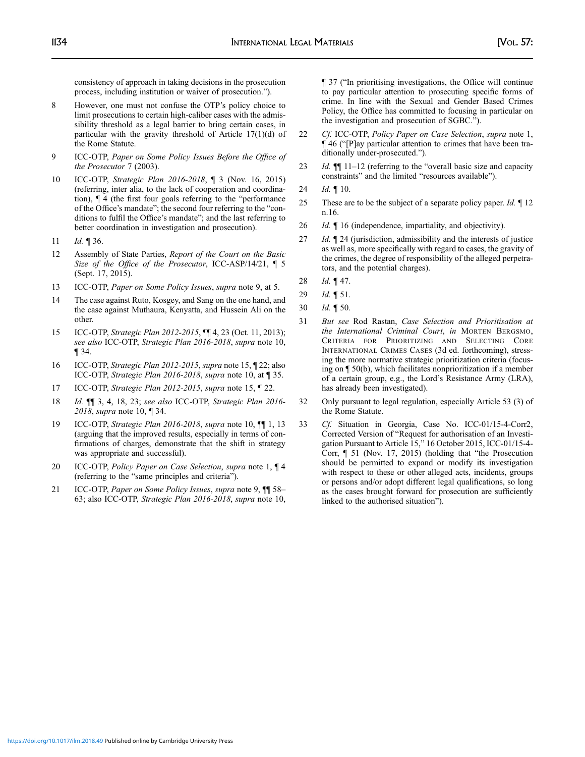consistency of approach in taking decisions in the prosecution process, including institution or waiver of prosecution.").

- 8 However, one must not confuse the OTP's policy choice to limit prosecutions to certain high-caliber cases with the admissibility threshold as a legal barrier to bring certain cases, in particular with the gravity threshold of Article 17(1)(d) of the Rome Statute.
- 9 ICC-OTP, Paper on Some Policy Issues Before the Office of the Prosecutor 7 (2003).
- 10 ICC-OTP, Strategic Plan 2016-2018, ¶ 3 (Nov. 16, 2015) (referring, inter alia, to the lack of cooperation and coordination), ¶ 4 (the first four goals referring to the "performance of the Office's mandate"; the second four referring to the "conditions to fulfil the Office's mandate"; and the last referring to better coordination in investigation and prosecution).
- 11 *Id.* ¶ 36.
- 12 Assembly of State Parties, Report of the Court on the Basic Size of the Office of the Prosecutor, ICC-ASP/14/21, ¶ 5 (Sept. 17, 2015).
- 13 ICC-OTP, Paper on Some Policy Issues, supra note 9, at 5.
- 14 The case against Ruto, Kosgey, and Sang on the one hand, and the case against Muthaura, Kenyatta, and Hussein Ali on the other.
- 15 ICC-OTP, Strategic Plan 2012-2015, ¶¶ 4, 23 (Oct. 11, 2013); see also ICC-OTP, Strategic Plan 2016-2018, supra note 10, ¶ 34.
- 16 ICC-OTP, Strategic Plan 2012-2015, supra note 15, ¶ 22; also ICC-OTP, Strategic Plan 2016-2018, supra note 10, at ¶ 35.
- 17 ICC-OTP, Strategic Plan 2012-2015, supra note 15, ¶ 22.
- 18 Id. ¶¶ 3, 4, 18, 23; see also ICC-OTP, Strategic Plan 2016- 2018, supra note 10, ¶ 34.
- 19 ICC-OTP, Strategic Plan 2016-2018, supra note 10,  $\P$ [1, 13] (arguing that the improved results, especially in terms of confirmations of charges, demonstrate that the shift in strategy was appropriate and successful).
- 20 ICC-OTP, Policy Paper on Case Selection, supra note 1,  $\P$  4 (referring to the "same principles and criteria").
- 21 ICC-OTP, Paper on Some Policy Issues, supra note 9,  $\P$  58– 63; also ICC-OTP, Strategic Plan 2016-2018, supra note 10,

¶ 37 ("In prioritising investigations, the Office will continue to pay particular attention to prosecuting specific forms of crime. In line with the Sexual and Gender Based Crimes Policy, the Office has committed to focusing in particular on the investigation and prosecution of SGBC.").

- 22 Cf. ICC-OTP, Policy Paper on Case Selection, supra note 1, ¶ 46 ("[P]ay particular attention to crimes that have been traditionally under-prosecuted.").
- 23 Id.  $\mathbb{I}$  11–12 (referring to the "overall basic size and capacity constraints" and the limited "resources available").
- 24 *Id.* 10.
- 25 These are to be the subject of a separate policy paper. *Id.*  $\llbracket$  12 n.16.
- 26 *Id.*  $\llbracket$  16 (independence, impartiality, and objectivity).
- 27 *Id.* 124 (jurisdiction, admissibility and the interests of justice as well as, more specifically with regard to cases, the gravity of the crimes, the degree of responsibility of the alleged perpetrators, and the potential charges).
- 28 *Id.*  $\P$  47.
- 29 *Id.* 151.
- 30 Id. ¶ 50.
- 31 But see Rod Rastan, Case Selection and Prioritisation at the International Criminal Court, in MORTEN BERGSMO, CRITERIA FOR PRIORITIZING AND SELECTING CORE INTERNATIONAL CRIMES CASES (3d ed. forthcoming), stressing the more normative strategic prioritization criteria (focusing on ¶ 50(b), which facilitates nonprioritization if a member of a certain group, e.g., the Lord's Resistance Army (LRA), has already been investigated).
- 32 Only pursuant to legal regulation, especially Article 53 (3) of the Rome Statute.
- 33 Cf. Situation in Georgia, Case No. ICC-01/15-4-Corr2, Corrected Version of "Request for authorisation of an Investigation Pursuant to Article 15," 16 October 2015, ICC-01/15-4- Corr, ¶ 51 (Nov. 17, 2015) (holding that "the Prosecution should be permitted to expand or modify its investigation with respect to these or other alleged acts, incidents, groups or persons and/or adopt different legal qualifications, so long as the cases brought forward for prosecution are sufficiently linked to the authorised situation").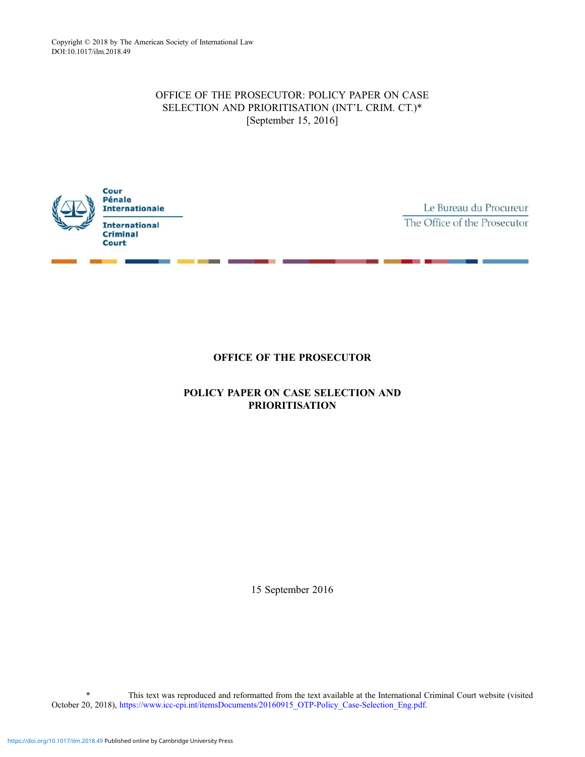# OFFICE OF THE PROSECUTOR: POLICY PAPER ON CASE SELECTION AND PRIORITISATION (INT'L CRIM. CT.)\* [September 15, 2016]



Le Bureau du Procureur The Office of the Prosecutor

# OFFICE OF THE PROSECUTOR

# POLICY PAPER ON CASE SELECTION AND PRIORITISATION

15 September 2016

This text was reproduced and reformatted from the text available at the International Criminal Court website (visited October 20, 2018), [https://www.icc-cpi.int/itemsDocuments/20160915\\_OTP-Policy\\_Case-Selection\\_Eng.pdf](https://www.icc-cpi.int/itemsDocuments/20160915_OTP-Policy_Case-Selection_Eng.pdf).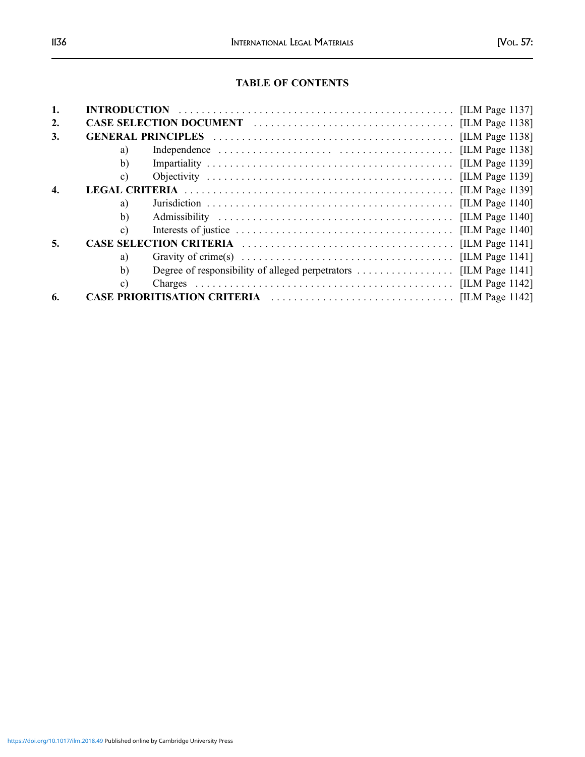# TABLE OF CONTENTS

| 1.               |    |  |  |
|------------------|----|--|--|
| $\overline{2}$ . |    |  |  |
| 3.               |    |  |  |
|                  | a) |  |  |
|                  | b) |  |  |
|                  | c) |  |  |
| 4.               |    |  |  |
|                  | a) |  |  |
|                  | b) |  |  |
|                  | c) |  |  |
| 5.               |    |  |  |
|                  | a) |  |  |
|                  | b) |  |  |
|                  | c) |  |  |
| 6.               |    |  |  |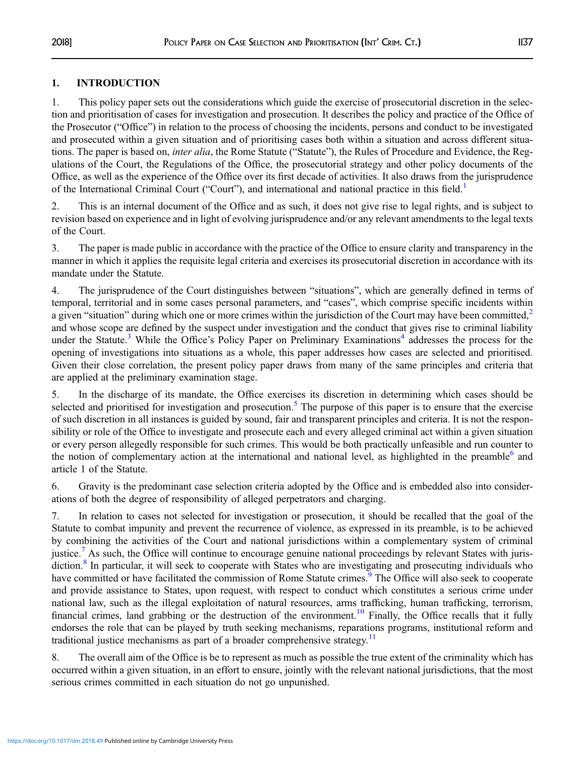## 1. INTRODUCTION

1. This policy paper sets out the considerations which guide the exercise of prosecutorial discretion in the selection and prioritisation of cases for investigation and prosecution. It describes the policy and practice of the Office of the Prosecutor ("Office") in relation to the process of choosing the incidents, persons and conduct to be investigated and prosecuted within a given situation and of prioritising cases both within a situation and across different situations. The paper is based on, inter alia, the Rome Statute ("Statute"), the Rules of Procedure and Evidence, the Regulations of the Court, the Regulations of the Office, the prosecutorial strategy and other policy documents of the Office, as well as the experience of the Office over its first decade of activities. It also draws from the jurisprudence of the International Criminal Court ("Court"), and international and national practice in this field.<sup>[1](#page-13-0)</sup>

2. This is an internal document of the Office and as such, it does not give rise to legal rights, and is subject to revision based on experience and in light of evolving jurisprudence and/or any relevant amendments to the legal texts of the Court.

3. The paper is made public in accordance with the practice of the Office to ensure clarity and transparency in the manner in which it applies the requisite legal criteria and exercises its prosecutorial discretion in accordance with its mandate under the Statute.

4. The jurisprudence of the Court distinguishes between "situations", which are generally defined in terms of temporal, territorial and in some cases personal parameters, and "cases", which comprise specific incidents within a given "situation" during which one or more crimes within the jurisdiction of the Court may have been committed, $2$ and whose scope are defined by the suspect under investigation and the conduct that gives rise to criminal liability under the Statute.<sup>[3](#page-13-0)</sup> While the Office's Policy Paper on Preliminary Examinations<sup>[4](#page-13-0)</sup> addresses the process for the opening of investigations into situations as a whole, this paper addresses how cases are selected and prioritised. Given their close correlation, the present policy paper draws from many of the same principles and criteria that are applied at the preliminary examination stage.

5. In the discharge of its mandate, the Office exercises its discretion in determining which cases should be selected and prioritised for investigation and prosecution.<sup>[5](#page-13-0)</sup> The purpose of this paper is to ensure that the exercise of such discretion in all instances is guided by sound, fair and transparent principles and criteria. It is not the responsibility or role of the Office to investigate and prosecute each and every alleged criminal act within a given situation or every person allegedly responsible for such crimes. This would be both practically unfeasible and run counter to the notion of complementary action at the international and national level, as highlighted in the preamble<sup>[6](#page-13-0)</sup> and article 1 of the Statute.

6. Gravity is the predominant case selection criteria adopted by the Office and is embedded also into considerations of both the degree of responsibility of alleged perpetrators and charging.

7. In relation to cases not selected for investigation or prosecution, it should be recalled that the goal of the Statute to combat impunity and prevent the recurrence of violence, as expressed in its preamble, is to be achieved by combining the activities of the Court and national jurisdictions within a complementary system of criminal justice.<sup>[7](#page-13-0)</sup> As such, the Office will continue to encourage genuine national proceedings by relevant States with juris-diction.<sup>[8](#page-13-0)</sup> In particular, it will seek to cooperate with States who are investigating and prosecuting individuals who have committed or have facilitated the commission of Rome Statute crimes.<sup>[9](#page-13-0)</sup> The Office will also seek to cooperate and provide assistance to States, upon request, with respect to conduct which constitutes a serious crime under national law, such as the illegal exploitation of natural resources, arms trafficking, human trafficking, terrorism, financial crimes, land grabbing or the destruction of the environment.<sup>[10](#page-13-0)</sup> Finally, the Office recalls that it fully endorses the role that can be played by truth seeking mechanisms, reparations programs, institutional reform and traditional justice mechanisms as part of a broader comprehensive strategy.<sup>[11](#page-13-0)</sup>

8. The overall aim of the Office is be to represent as much as possible the true extent of the criminality which has occurred within a given situation, in an effort to ensure, jointly with the relevant national jurisdictions, that the most serious crimes committed in each situation do not go unpunished.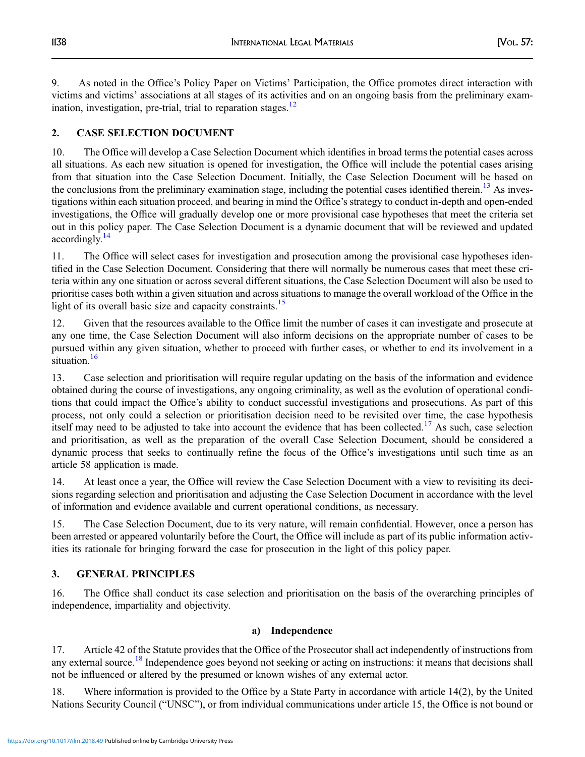9. As noted in the Office's Policy Paper on Victims' Participation, the Office promotes direct interaction with victims and victims' associations at all stages of its activities and on an ongoing basis from the preliminary exam-ination, investigation, pre-trial, trial to reparation stages.<sup>[12](#page-13-0)</sup>

# 2. CASE SELECTION DOCUMENT

10. The Office will develop a Case Selection Document which identifies in broad terms the potential cases across all situations. As each new situation is opened for investigation, the Office will include the potential cases arising from that situation into the Case Selection Document. Initially, the Case Selection Document will be based on the conclusions from the preliminary examination stage, including the potential cases identified therein.<sup>[13](#page-13-0)</sup> As investigations within each situation proceed, and bearing in mind the Office's strategy to conduct in-depth and open-ended investigations, the Office will gradually develop one or more provisional case hypotheses that meet the criteria set out in this policy paper. The Case Selection Document is a dynamic document that will be reviewed and updated accordingly.<sup>14</sup>

11. The Office will select cases for investigation and prosecution among the provisional case hypotheses identified in the Case Selection Document. Considering that there will normally be numerous cases that meet these criteria within any one situation or across several different situations, the Case Selection Document will also be used to prioritise cases both within a given situation and across situations to manage the overall workload of the Office in the light of its overall basic size and capacity constraints.<sup>[15](#page-13-0)</sup>

12. Given that the resources available to the Office limit the number of cases it can investigate and prosecute at any one time, the Case Selection Document will also inform decisions on the appropriate number of cases to be pursued within any given situation, whether to proceed with further cases, or whether to end its involvement in a situation.<sup>[16](#page-13-0)</sup>

13. Case selection and prioritisation will require regular updating on the basis of the information and evidence obtained during the course of investigations, any ongoing criminality, as well as the evolution of operational conditions that could impact the Office's ability to conduct successful investigations and prosecutions. As part of this process, not only could a selection or prioritisation decision need to be revisited over time, the case hypothesis itself may need to be adjusted to take into account the evidence that has been collected.<sup>[17](#page-13-0)</sup> As such, case selection and prioritisation, as well as the preparation of the overall Case Selection Document, should be considered a dynamic process that seeks to continually refine the focus of the Office's investigations until such time as an article 58 application is made.

14. At least once a year, the Office will review the Case Selection Document with a view to revisiting its decisions regarding selection and prioritisation and adjusting the Case Selection Document in accordance with the level of information and evidence available and current operational conditions, as necessary.

15. The Case Selection Document, due to its very nature, will remain confidential. However, once a person has been arrested or appeared voluntarily before the Court, the Office will include as part of its public information activities its rationale for bringing forward the case for prosecution in the light of this policy paper.

# 3. GENERAL PRINCIPLES

16. The Office shall conduct its case selection and prioritisation on the basis of the overarching principles of independence, impartiality and objectivity.

### a) Independence

17. Article 42 of the Statute provides that the Office of the Prosecutor shall act independently of instructions from any external source.<sup>[18](#page-13-0)</sup> Independence goes beyond not seeking or acting on instructions: it means that decisions shall not be influenced or altered by the presumed or known wishes of any external actor.

18. Where information is provided to the Office by a State Party in accordance with article 14(2), by the United Nations Security Council ("UNSC"), or from individual communications under article 15, the Office is not bound or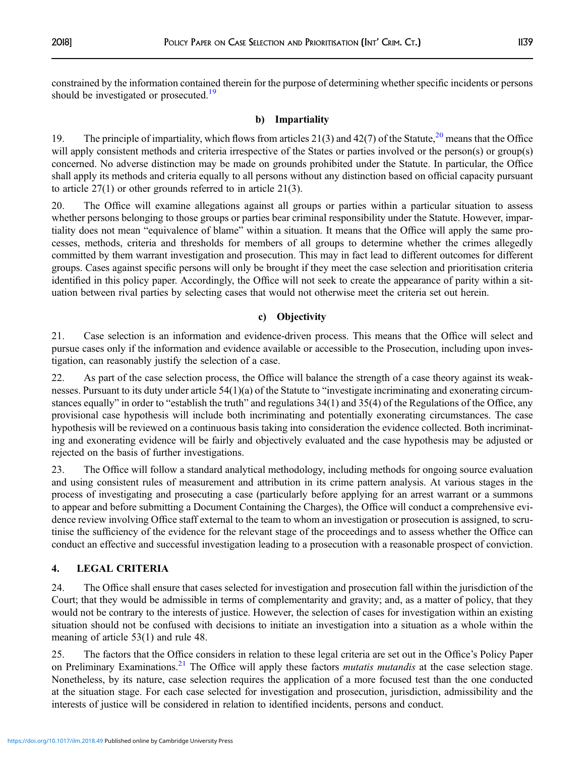constrained by the information contained therein for the purpose of determining whether specific incidents or persons should be investigated or prosecuted.<sup>[19](#page-13-0)</sup>

#### b) Impartiality

19. The principle of impartiality, which flows from articles 21(3) and 42(7) of the Statute,  $2^{\circ}$  means that the Office will apply consistent methods and criteria irrespective of the States or parties involved or the person(s) or group(s) concerned. No adverse distinction may be made on grounds prohibited under the Statute. In particular, the Office shall apply its methods and criteria equally to all persons without any distinction based on official capacity pursuant to article 27(1) or other grounds referred to in article 21(3).

20. The Office will examine allegations against all groups or parties within a particular situation to assess whether persons belonging to those groups or parties bear criminal responsibility under the Statute. However, impartiality does not mean "equivalence of blame" within a situation. It means that the Office will apply the same processes, methods, criteria and thresholds for members of all groups to determine whether the crimes allegedly committed by them warrant investigation and prosecution. This may in fact lead to different outcomes for different groups. Cases against specific persons will only be brought if they meet the case selection and prioritisation criteria identified in this policy paper. Accordingly, the Office will not seek to create the appearance of parity within a situation between rival parties by selecting cases that would not otherwise meet the criteria set out herein.

### c) Objectivity

21. Case selection is an information and evidence-driven process. This means that the Office will select and pursue cases only if the information and evidence available or accessible to the Prosecution, including upon investigation, can reasonably justify the selection of a case.

22. As part of the case selection process, the Office will balance the strength of a case theory against its weaknesses. Pursuant to its duty under article 54(1)(a) of the Statute to "investigate incriminating and exonerating circumstances equally" in order to "establish the truth" and regulations 34(1) and 35(4) of the Regulations of the Office, any provisional case hypothesis will include both incriminating and potentially exonerating circumstances. The case hypothesis will be reviewed on a continuous basis taking into consideration the evidence collected. Both incriminating and exonerating evidence will be fairly and objectively evaluated and the case hypothesis may be adjusted or rejected on the basis of further investigations.

23. The Office will follow a standard analytical methodology, including methods for ongoing source evaluation and using consistent rules of measurement and attribution in its crime pattern analysis. At various stages in the process of investigating and prosecuting a case (particularly before applying for an arrest warrant or a summons to appear and before submitting a Document Containing the Charges), the Office will conduct a comprehensive evidence review involving Office staff external to the team to whom an investigation or prosecution is assigned, to scrutinise the sufficiency of the evidence for the relevant stage of the proceedings and to assess whether the Office can conduct an effective and successful investigation leading to a prosecution with a reasonable prospect of conviction.

# 4. LEGAL CRITERIA

24. The Office shall ensure that cases selected for investigation and prosecution fall within the jurisdiction of the Court; that they would be admissible in terms of complementarity and gravity; and, as a matter of policy, that they would not be contrary to the interests of justice. However, the selection of cases for investigation within an existing situation should not be confused with decisions to initiate an investigation into a situation as a whole within the meaning of article 53(1) and rule 48.

25. The factors that the Office considers in relation to these legal criteria are set out in the Office's Policy Paper on Preliminary Examinations.<sup>[21](#page-13-0)</sup> The Office will apply these factors *mutatis mutandis* at the case selection stage. Nonetheless, by its nature, case selection requires the application of a more focused test than the one conducted at the situation stage. For each case selected for investigation and prosecution, jurisdiction, admissibility and the interests of justice will be considered in relation to identified incidents, persons and conduct.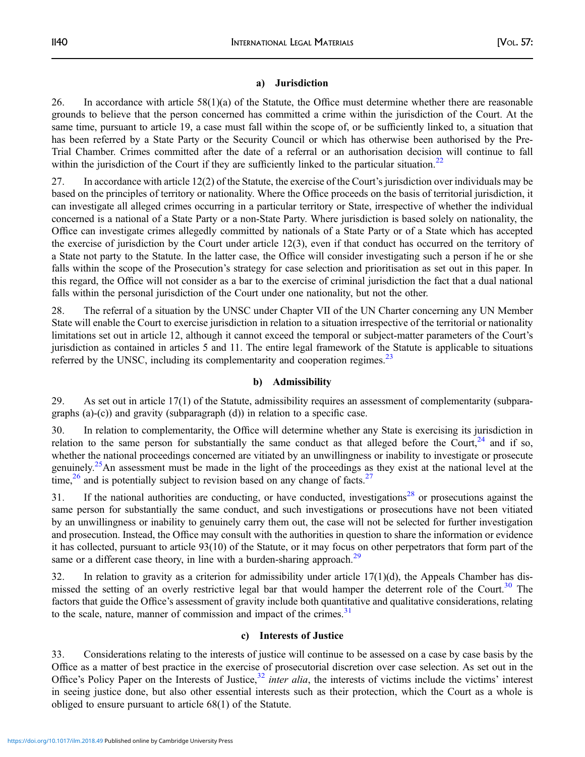### a) Jurisdiction

26. In accordance with article 58(1)(a) of the Statute, the Office must determine whether there are reasonable grounds to believe that the person concerned has committed a crime within the jurisdiction of the Court. At the same time, pursuant to article 19, a case must fall within the scope of, or be sufficiently linked to, a situation that has been referred by a State Party or the Security Council or which has otherwise been authorised by the Pre-Trial Chamber. Crimes committed after the date of a referral or an authorisation decision will continue to fall within the jurisdiction of the Court if they are sufficiently linked to the particular situation.<sup>[22](#page-13-0)</sup>

27. In accordance with article 12(2) of the Statute, the exercise of the Court's jurisdiction over individuals may be based on the principles of territory or nationality. Where the Office proceeds on the basis of territorial jurisdiction, it can investigate all alleged crimes occurring in a particular territory or State, irrespective of whether the individual concerned is a national of a State Party or a non-State Party. Where jurisdiction is based solely on nationality, the Office can investigate crimes allegedly committed by nationals of a State Party or of a State which has accepted the exercise of jurisdiction by the Court under article 12(3), even if that conduct has occurred on the territory of a State not party to the Statute. In the latter case, the Office will consider investigating such a person if he or she falls within the scope of the Prosecution's strategy for case selection and prioritisation as set out in this paper. In this regard, the Office will not consider as a bar to the exercise of criminal jurisdiction the fact that a dual national falls within the personal jurisdiction of the Court under one nationality, but not the other.

28. The referral of a situation by the UNSC under Chapter VII of the UN Charter concerning any UN Member State will enable the Court to exercise jurisdiction in relation to a situation irrespective of the territorial or nationality limitations set out in article 12, although it cannot exceed the temporal or subject-matter parameters of the Court's jurisdiction as contained in articles 5 and 11. The entire legal framework of the Statute is applicable to situations referred by the UNSC, including its complementarity and cooperation regimes.<sup>[23](#page-13-0)</sup>

### b) Admissibility

29. As set out in article 17(1) of the Statute, admissibility requires an assessment of complementarity (subparagraphs (a)-(c)) and gravity (subparagraph (d)) in relation to a specific case.

30. In relation to complementarity, the Office will determine whether any State is exercising its jurisdiction in relation to the same person for substantially the same conduct as that alleged before the Court,  $^{24}$  $^{24}$  $^{24}$  and if so, whether the national proceedings concerned are vitiated by an unwillingness or inability to investigate or prosecute genuinely.<sup>[25](#page-13-0)</sup>An assessment must be made in the light of the proceedings as they exist at the national level at the time,<sup>[26](#page-13-0)</sup> and is potentially subject to revision based on any change of facts.<sup>[27](#page-14-0)</sup>

31. If the national authorities are conducting, or have conducted, investigations<sup>[28](#page-14-0)</sup> or prosecutions against the same person for substantially the same conduct, and such investigations or prosecutions have not been vitiated by an unwillingness or inability to genuinely carry them out, the case will not be selected for further investigation and prosecution. Instead, the Office may consult with the authorities in question to share the information or evidence it has collected, pursuant to article 93(10) of the Statute, or it may focus on other perpetrators that form part of the same or a different case theory, in line with a burden-sharing approach.<sup>[29](#page-14-0)</sup>

32. In relation to gravity as a criterion for admissibility under article  $17(1)(d)$ , the Appeals Chamber has dis-missed the setting of an overly restrictive legal bar that would hamper the deterrent role of the Court.<sup>[30](#page-14-0)</sup> The factors that guide the Office's assessment of gravity include both quantitative and qualitative considerations, relating to the scale, nature, manner of commission and impact of the crimes. $31$ 

#### c) Interests of Justice

33. Considerations relating to the interests of justice will continue to be assessed on a case by case basis by the Office as a matter of best practice in the exercise of prosecutorial discretion over case selection. As set out in the Office's Policy Paper on the Interests of Justice,  $32$  inter alia, the interests of victims include the victims' interest in seeing justice done, but also other essential interests such as their protection, which the Court as a whole is obliged to ensure pursuant to article 68(1) of the Statute.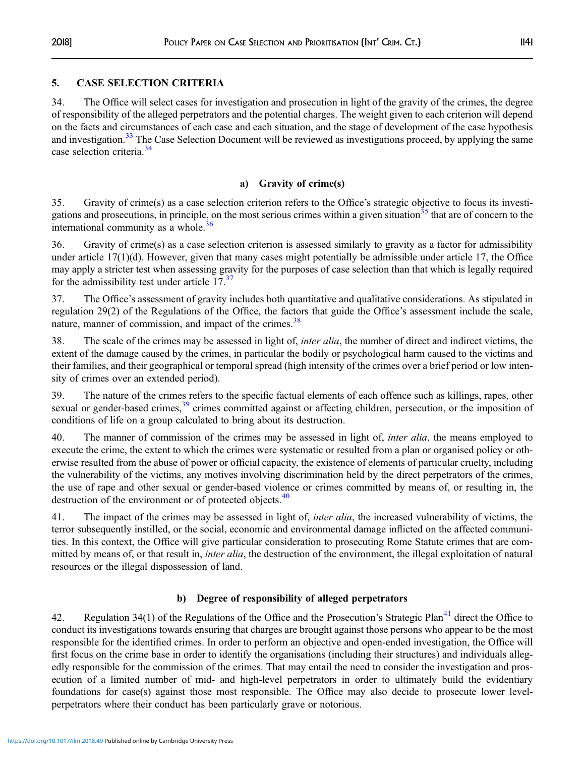## 5. CASE SELECTION CRITERIA

34. The Office will select cases for investigation and prosecution in light of the gravity of the crimes, the degree of responsibility of the alleged perpetrators and the potential charges. The weight given to each criterion will depend on the facts and circumstances of each case and each situation, and the stage of development of the case hypothesis and investigation.<sup>[33](#page-14-0)</sup> The Case Selection Document will be reviewed as investigations proceed, by applying the same case selection criteria.[34](#page-14-0)

## a) Gravity of crime(s)

35. Gravity of crime(s) as a case selection criterion refers to the Office's strategic objective to focus its investi-gations and prosecutions, in principle, on the most serious crimes within a given situation<sup>[35](#page-14-0)</sup> that are of concern to the international community as a whole. $36$ 

36. Gravity of crime(s) as a case selection criterion is assessed similarly to gravity as a factor for admissibility under article  $17(1)(d)$ . However, given that many cases might potentially be admissible under article 17, the Office may apply a stricter test when assessing gravity for the purposes of case selection than that which is legally required for the admissibility test under article  $17<sup>37</sup>$  $17<sup>37</sup>$  $17<sup>37</sup>$ 

37. The Office's assessment of gravity includes both quantitative and qualitative considerations. As stipulated in regulation 29(2) of the Regulations of the Office, the factors that guide the Office's assessment include the scale, nature, manner of commission, and impact of the crimes.<sup>[38](#page-14-0)</sup>

38. The scale of the crimes may be assessed in light of, *inter alia*, the number of direct and indirect victims, the extent of the damage caused by the crimes, in particular the bodily or psychological harm caused to the victims and their families, and their geographical or temporal spread (high intensity of the crimes over a brief period or low intensity of crimes over an extended period).

39. The nature of the crimes refers to the specific factual elements of each offence such as killings, rapes, other sexual or gender-based crimes,<sup>[39](#page-14-0)</sup> crimes committed against or affecting children, persecution, or the imposition of conditions of life on a group calculated to bring about its destruction.

40. The manner of commission of the crimes may be assessed in light of, *inter alia*, the means employed to execute the crime, the extent to which the crimes were systematic or resulted from a plan or organised policy or otherwise resulted from the abuse of power or official capacity, the existence of elements of particular cruelty, including the vulnerability of the victims, any motives involving discrimination held by the direct perpetrators of the crimes, the use of rape and other sexual or gender-based violence or crimes committed by means of, or resulting in, the destruction of the environment or of protected objects.<sup>[40](#page-14-0)</sup>

41. The impact of the crimes may be assessed in light of, *inter alia*, the increased vulnerability of victims, the terror subsequently instilled, or the social, economic and environmental damage inflicted on the affected communities. In this context, the Office will give particular consideration to prosecuting Rome Statute crimes that are committed by means of, or that result in, *inter alia*, the destruction of the environment, the illegal exploitation of natural resources or the illegal dispossession of land.

# b) Degree of responsibility of alleged perpetrators

42. Regulation 34(1) of the Regulations of the Office and the Prosecution's Strategic Plan<sup>[41](#page-14-0)</sup> direct the Office to conduct its investigations towards ensuring that charges are brought against those persons who appear to be the most responsible for the identified crimes. In order to perform an objective and open-ended investigation, the Office will first focus on the crime base in order to identify the organisations (including their structures) and individuals allegedly responsible for the commission of the crimes. That may entail the need to consider the investigation and prosecution of a limited number of mid- and high-level perpetrators in order to ultimately build the evidentiary foundations for case(s) against those most responsible. The Office may also decide to prosecute lower levelperpetrators where their conduct has been particularly grave or notorious.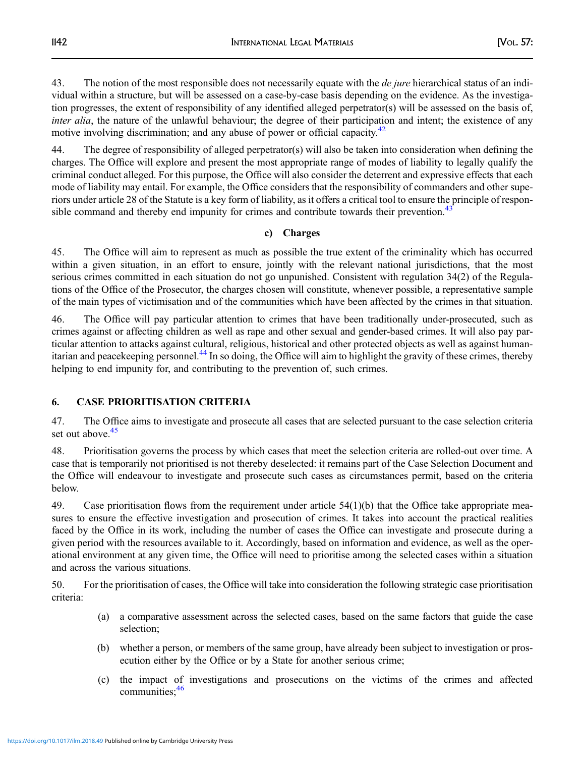43. The notion of the most responsible does not necessarily equate with the *de jure* hierarchical status of an individual within a structure, but will be assessed on a case-by-case basis depending on the evidence. As the investigation progresses, the extent of responsibility of any identified alleged perpetrator(s) will be assessed on the basis of, inter alia, the nature of the unlawful behaviour; the degree of their participation and intent; the existence of any motive involving discrimination; and any abuse of power or official capacity.<sup>[42](#page-14-0)</sup>

44. The degree of responsibility of alleged perpetrator(s) will also be taken into consideration when defining the charges. The Office will explore and present the most appropriate range of modes of liability to legally qualify the criminal conduct alleged. For this purpose, the Office will also consider the deterrent and expressive effects that each mode of liability may entail. For example, the Office considers that the responsibility of commanders and other superiors under article 28 of the Statute is a key form of liability, as it offers a critical tool to ensure the principle of respon-sible command and thereby end impunity for crimes and contribute towards their prevention.<sup>[43](#page-14-0)</sup>

### c) Charges

45. The Office will aim to represent as much as possible the true extent of the criminality which has occurred within a given situation, in an effort to ensure, jointly with the relevant national jurisdictions, that the most serious crimes committed in each situation do not go unpunished. Consistent with regulation 34(2) of the Regulations of the Office of the Prosecutor, the charges chosen will constitute, whenever possible, a representative sample of the main types of victimisation and of the communities which have been affected by the crimes in that situation.

46. The Office will pay particular attention to crimes that have been traditionally under-prosecuted, such as crimes against or affecting children as well as rape and other sexual and gender-based crimes. It will also pay particular attention to attacks against cultural, religious, historical and other protected objects as well as against human-itarian and peacekeeping personnel.<sup>[44](#page-14-0)</sup> In so doing, the Office will aim to highlight the gravity of these crimes, thereby helping to end impunity for, and contributing to the prevention of, such crimes.

# 6. CASE PRIORITISATION CRITERIA

47. The Office aims to investigate and prosecute all cases that are selected pursuant to the case selection criteria set out above.<sup>45</sup>

48. Prioritisation governs the process by which cases that meet the selection criteria are rolled-out over time. A case that is temporarily not prioritised is not thereby deselected: it remains part of the Case Selection Document and the Office will endeavour to investigate and prosecute such cases as circumstances permit, based on the criteria below.

49. Case prioritisation flows from the requirement under article 54(1)(b) that the Office take appropriate measures to ensure the effective investigation and prosecution of crimes. It takes into account the practical realities faced by the Office in its work, including the number of cases the Office can investigate and prosecute during a given period with the resources available to it. Accordingly, based on information and evidence, as well as the operational environment at any given time, the Office will need to prioritise among the selected cases within a situation and across the various situations.

50. For the prioritisation of cases, the Office will take into consideration the following strategic case prioritisation criteria:

- (a) a comparative assessment across the selected cases, based on the same factors that guide the case selection;
- (b) whether a person, or members of the same group, have already been subject to investigation or prosecution either by the Office or by a State for another serious crime;
- (c) the impact of investigations and prosecutions on the victims of the crimes and affected communities:  $46$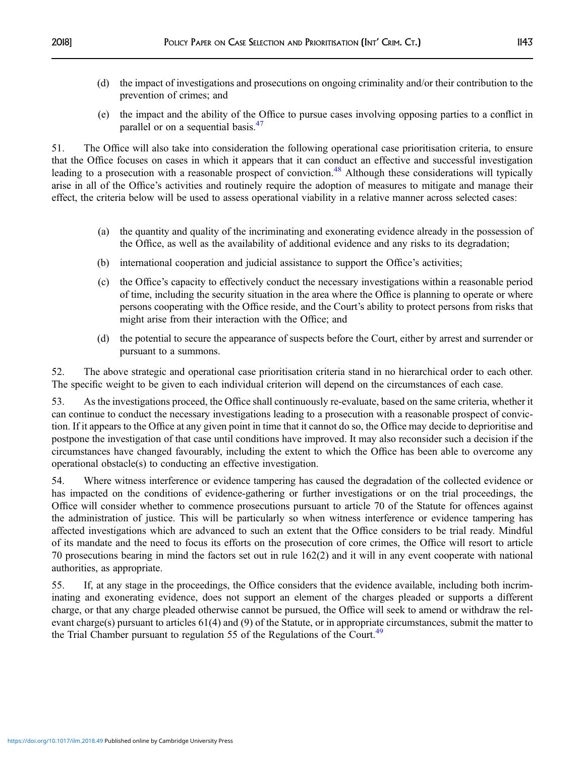- (d) the impact of investigations and prosecutions on ongoing criminality and/or their contribution to the prevention of crimes; and
- (e) the impact and the ability of the Office to pursue cases involving opposing parties to a conflict in parallel or on a sequential basis.<sup>[47](#page-14-0)</sup>

51. The Office will also take into consideration the following operational case prioritisation criteria, to ensure that the Office focuses on cases in which it appears that it can conduct an effective and successful investigation leading to a prosecution with a reasonable prospect of conviction.<sup>[48](#page-14-0)</sup> Although these considerations will typically arise in all of the Office's activities and routinely require the adoption of measures to mitigate and manage their effect, the criteria below will be used to assess operational viability in a relative manner across selected cases:

- (a) the quantity and quality of the incriminating and exonerating evidence already in the possession of the Office, as well as the availability of additional evidence and any risks to its degradation;
- (b) international cooperation and judicial assistance to support the Office's activities;
- (c) the Office's capacity to effectively conduct the necessary investigations within a reasonable period of time, including the security situation in the area where the Office is planning to operate or where persons cooperating with the Office reside, and the Court's ability to protect persons from risks that might arise from their interaction with the Office; and
- (d) the potential to secure the appearance of suspects before the Court, either by arrest and surrender or pursuant to a summons.

52. The above strategic and operational case prioritisation criteria stand in no hierarchical order to each other. The specific weight to be given to each individual criterion will depend on the circumstances of each case.

53. As the investigations proceed, the Office shall continuously re-evaluate, based on the same criteria, whether it can continue to conduct the necessary investigations leading to a prosecution with a reasonable prospect of conviction. If it appears to the Office at any given point in time that it cannot do so, the Office may decide to deprioritise and postpone the investigation of that case until conditions have improved. It may also reconsider such a decision if the circumstances have changed favourably, including the extent to which the Office has been able to overcome any operational obstacle(s) to conducting an effective investigation.

54. Where witness interference or evidence tampering has caused the degradation of the collected evidence or has impacted on the conditions of evidence-gathering or further investigations or on the trial proceedings, the Office will consider whether to commence prosecutions pursuant to article 70 of the Statute for offences against the administration of justice. This will be particularly so when witness interference or evidence tampering has affected investigations which are advanced to such an extent that the Office considers to be trial ready. Mindful of its mandate and the need to focus its efforts on the prosecution of core crimes, the Office will resort to article 70 prosecutions bearing in mind the factors set out in rule 162(2) and it will in any event cooperate with national authorities, as appropriate.

55. If, at any stage in the proceedings, the Office considers that the evidence available, including both incriminating and exonerating evidence, does not support an element of the charges pleaded or supports a different charge, or that any charge pleaded otherwise cannot be pursued, the Office will seek to amend or withdraw the relevant charge(s) pursuant to articles 61(4) and (9) of the Statute, or in appropriate circumstances, submit the matter to the Trial Chamber pursuant to regulation 55 of the Regulations of the Court.<sup>[49](#page-14-0)</sup>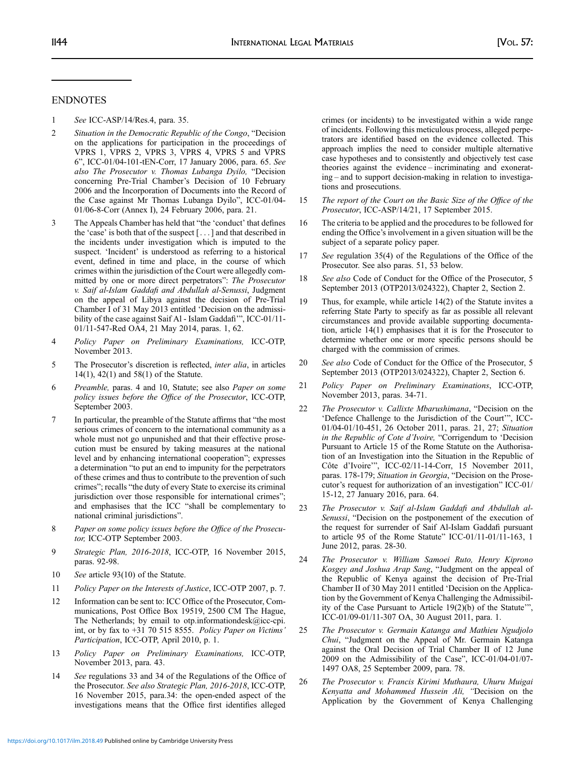#### <span id="page-13-0"></span>ENDNOTES

1 See ICC-ASP/14/Res.4, para. 35.

- 2 Situation in the Democratic Republic of the Congo, "Decision on the applications for participation in the proceedings of VPRS 1, VPRS 2, VPRS 3, VPRS 4, VPRS 5 and VPRS 6", ICC-01/04-101-tEN-Corr, 17 January 2006, para. 65. See also The Prosecutor v. Thomas Lubanga Dyilo, "Decision concerning Pre-Trial Chamber's Decision of 10 February 2006 and the Incorporation of Documents into the Record of the Case against Mr Thomas Lubanga Dyilo", ICC-01/04- 01/06-8-Corr (Annex I), 24 February 2006, para. 21.
- 3 The Appeals Chamber has held that "the 'conduct' that defines the 'case' is both that of the suspect [ . . . ] and that described in the incidents under investigation which is imputed to the suspect. 'Incident' is understood as referring to a historical event, defined in time and place, in the course of which crimes within the jurisdiction of the Court were allegedly committed by one or more direct perpetrators": The Prosecutor v. Saif al-Islam Gaddafi and Abdullah al-Senussi, Judgment on the appeal of Libya against the decision of Pre-Trial Chamber I of 31 May 2013 entitled 'Decision on the admissibility of the case against Saif Al - Islam Gaddafi", ICC-01/11-01/11-547-Red OA4, 21 May 2014, paras. 1, 62.
- 4 Policy Paper on Preliminary Examinations, ICC-OTP, November 2013.
- 5 The Prosecutor's discretion is reflected, inter alia, in articles 14(1), 42(1) and 58(1) of the Statute.
- 6 Preamble, paras. 4 and 10, Statute; see also Paper on some policy issues before the Office of the Prosecutor, ICC-OTP, September 2003.
- 7 In particular, the preamble of the Statute affirms that "the most serious crimes of concern to the international community as a whole must not go unpunished and that their effective prosecution must be ensured by taking measures at the national level and by enhancing international cooperation"; expresses a determination "to put an end to impunity for the perpetrators of these crimes and thus to contribute to the prevention of such crimes"; recalls "the duty of every State to exercise its criminal jurisdiction over those responsible for international crimes"; and emphasises that the ICC "shall be complementary to national criminal jurisdictions".
- 8 Paper on some policy issues before the Office of the Prosecutor, ICC-OTP September 2003.
- 9 Strategic Plan, 2016-2018, ICC-OTP, 16 November 2015, paras. 92-98.
- 10 See article 93(10) of the Statute.
- 11 Policy Paper on the Interests of Justice, ICC-OTP 2007, p. 7.
- 12 Information can be sent to: ICC Office of the Prosecutor, Communications, Post Office Box 19519, 2500 CM The Hague, The Netherlands; by email to otp.informationdesk@icc-cpi. int, or by fax to +31 70 515 8555. Policy Paper on Victims' Participation, ICC-OTP, April 2010, p. 1.
- 13 Policy Paper on Preliminary Examinations, ICC-OTP, November 2013, para. 43.
- 14 See regulations 33 and 34 of the Regulations of the Office of the Prosecutor. See also Strategic Plan, 2016-2018, ICC-OTP, 16 November 2015, para.34: the open-ended aspect of the investigations means that the Office first identifies alleged

crimes (or incidents) to be investigated within a wide range of incidents. Following this meticulous process, alleged perpetrators are identified based on the evidence collected. This approach implies the need to consider multiple alternative case hypotheses and to consistently and objectively test case theories against the evidence – incriminating and exonerating – and to support decision-making in relation to investigations and prosecutions.

- 15 The report of the Court on the Basic Size of the Office of the Prosecutor, ICC-ASP/14/21, 17 September 2015.
- 16 The criteria to be applied and the procedures to be followed for ending the Office's involvement in a given situation will be the subject of a separate policy paper.
- 17 See regulation 35(4) of the Regulations of the Office of the Prosecutor. See also paras. 51, 53 below.
- 18 See also Code of Conduct for the Office of the Prosecutor, 5 September 2013 (OTP2013/024322), Chapter 2, Section 2.
- 19 Thus, for example, while article 14(2) of the Statute invites a referring State Party to specify as far as possible all relevant circumstances and provide available supporting documentation, article 14(1) emphasises that it is for the Prosecutor to determine whether one or more specific persons should be charged with the commission of crimes.
- 20 See also Code of Conduct for the Office of the Prosecutor, 5 September 2013 (OTP2013/024322), Chapter 2, Section 6.
- 21 Policy Paper on Preliminary Examinations, ICC-OTP, November 2013, paras. 34-71.
- 22 The Prosecutor v. Callixte Mbarushimana, "Decision on the 'Defence Challenge to the Jurisdiction of the Court'", ICC-01/04-01/10-451, 26 October 2011, paras. 21, 27; Situation in the Republic of Cote d'Ivoire, "Corrigendum to 'Decision Pursuant to Article 15 of the Rome Statute on the Authorisation of an Investigation into the Situation in the Republic of Côte d'Ivoire'", ICC-02/11-14-Corr, 15 November 2011, paras. 178-179; Situation in Georgia, "Decision on the Prosecutor's request for authorization of an investigation" ICC-01/ 15-12, 27 January 2016, para. 64.
- 23 The Prosecutor v. Saif al-Islam Gaddafi and Abdullah al-Senussi, "Decision on the postponement of the execution of the request for surrender of Saif Al-Islam Gaddafi pursuant to article 95 of the Rome Statute" ICC-01/11-01/11-163, 1 June 2012, paras. 28-30.
- 24 The Prosecutor v. William Samoei Ruto, Henry Kiprono Kosgey and Joshua Arap Sang, "Judgment on the appeal of the Republic of Kenya against the decision of Pre-Trial Chamber II of 30 May 2011 entitled 'Decision on the Application by the Government of Kenya Challenging the Admissibility of the Case Pursuant to Article 19(2)(b) of the Statute'", ICC-01/09-01/11-307 OA, 30 August 2011, para. 1.
- 25 The Prosecutor v. Germain Katanga and Mathieu Ngudjolo Chui, "Judgment on the Appeal of Mr. Germain Katanga against the Oral Decision of Trial Chamber II of 12 June 2009 on the Admissibility of the Case", ICC-01/04-01/07- 1497 OA8, 25 September 2009, para. 78.
- 26 The Prosecutor v. Francis Kirimi Muthaura, Uhuru Muigai Kenyatta and Mohammed Hussein Ali, "Decision on the Application by the Government of Kenya Challenging